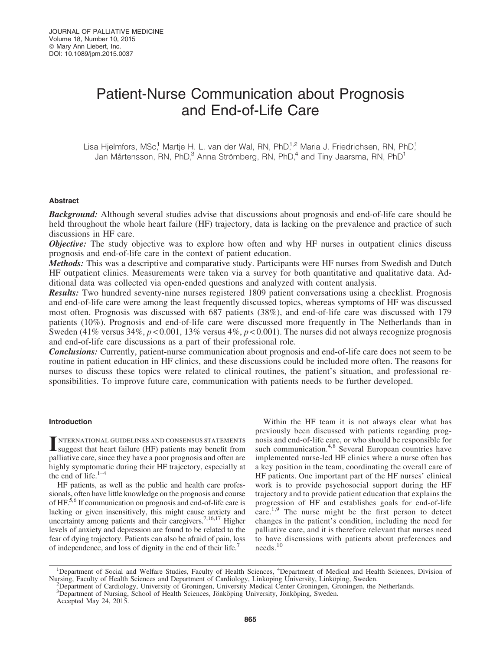# Patient-Nurse Communication about Prognosis and End-of-Life Care

Lisa Hjelmfors, MSc,<sup>1</sup> Martje H. L. van der Wal, RN, PhD,<sup>1,2</sup> Maria J. Friedrichsen, RN, PhD,<sup>1</sup> Jan Mårtensson, RN, PhD,<sup>3</sup> Anna Strömberg, RN, PhD,<sup>4</sup> and Tiny Jaarsma, RN, PhD<sup>1</sup>

## Abstract

**Background:** Although several studies advise that discussions about prognosis and end-of-life care should be held throughout the whole heart failure (HF) trajectory, data is lacking on the prevalence and practice of such discussions in HF care.

**Objective:** The study objective was to explore how often and why HF nurses in outpatient clinics discuss prognosis and end-of-life care in the context of patient education.

Methods: This was a descriptive and comparative study. Participants were HF nurses from Swedish and Dutch HF outpatient clinics. Measurements were taken via a survey for both quantitative and qualitative data. Additional data was collected via open-ended questions and analyzed with content analysis.

Results: Two hundred seventy-nine nurses registered 1809 patient conversations using a checklist. Prognosis and end-of-life care were among the least frequently discussed topics, whereas symptoms of HF was discussed most often. Prognosis was discussed with 687 patients (38%), and end-of-life care was discussed with 179 patients (10%). Prognosis and end-of-life care were discussed more frequently in The Netherlands than in Sweden (41% versus 34%, *p* < 0.001, 13% versus 4%, *p* < 0.001). The nurses did not always recognize prognosis and end-of-life care discussions as a part of their professional role.

Conclusions: Currently, patient-nurse communication about prognosis and end-of-life care does not seem to be routine in patient education in HF clinics, and these discussions could be included more often. The reasons for nurses to discuss these topics were related to clinical routines, the patient's situation, and professional responsibilities. To improve future care, communication with patients needs to be further developed.

## Introduction

INTERNATIONAL GUIDELINES AND CONSENSUS STATEMENTS<br>suggest that heart failure (HF) patients may benefit from palliative care, since they have a poor prognosis and often are highly symptomatic during their HF trajectory, especially at the end of life. $1-4$ 

HF patients, as well as the public and health care professionals, often have little knowledge on the prognosis and course of HF.<sup>5,6</sup> If communication on prognosis and end-of-life care is lacking or given insensitively, this might cause anxiety and uncertainty among patients and their caregivers.<sup>7,16,17</sup> Higher levels of anxiety and depression are found to be related to the fear of dying trajectory. Patients can also be afraid of pain, loss of independence, and loss of dignity in the end of their life.

Within the HF team it is not always clear what has previously been discussed with patients regarding prognosis and end-of-life care, or who should be responsible for such communication.<sup>4,8</sup> Several European countries have implemented nurse-led HF clinics where a nurse often has a key position in the team, coordinating the overall care of HF patients. One important part of the HF nurses' clinical work is to provide psychosocial support during the HF trajectory and to provide patient education that explains the progression of HF and establishes goals for end-of-life care.<sup>1,9</sup> The nurse might be the first person to detect changes in the patient's condition, including the need for palliative care, and it is therefore relevant that nurses need to have discussions with patients about preferences and needs.<sup>10</sup>

<sup>&</sup>lt;sup>1</sup>Department of Social and Welfare Studies, Faculty of Health Sciences, <sup>4</sup>Department of Medical and Health Sciences, Division of Nursing, Faculty of Health Sciences and Department of Cardiology, Linköping University, Linköping, Sweden.

Department of Cardiology, University of Groningen, University Medical Center Groningen, Groningen, the Netherlands.

<sup>&</sup>lt;sup>3</sup>Department of Nursing, School of Health Sciences, Jönköping University, Jönköping, Sweden. Accepted May 24, 2015.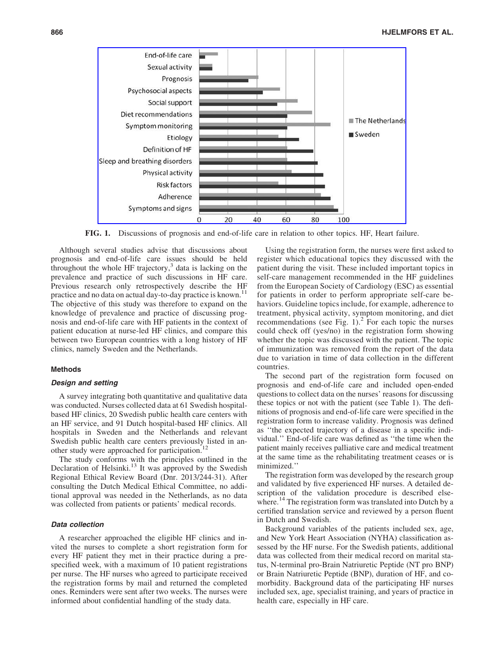

FIG. 1. Discussions of prognosis and end-of-life care in relation to other topics. HF, Heart failure.

Although several studies advise that discussions about prognosis and end-of-life care issues should be held throughout the whole HF trajectory, $3$  data is lacking on the prevalence and practice of such discussions in HF care. Previous research only retrospectively describe the HF practice and no data on actual day-to-day practice is known.<sup>11</sup> The objective of this study was therefore to expand on the knowledge of prevalence and practice of discussing prognosis and end-of-life care with HF patients in the context of patient education at nurse-led HF clinics, and compare this between two European countries with a long history of HF clinics, namely Sweden and the Netherlands.

# Methods

#### Design and setting

A survey integrating both quantitative and qualitative data was conducted. Nurses collected data at 61 Swedish hospitalbased HF clinics, 20 Swedish public health care centers with an HF service, and 91 Dutch hospital-based HF clinics. All hospitals in Sweden and the Netherlands and relevant Swedish public health care centers previously listed in another study were approached for participation.<sup>1</sup>

The study conforms with the principles outlined in the Declaration of Helsinki.<sup>13</sup> It was approved by the Swedish Regional Ethical Review Board (Dnr. 2013/244-31). After consulting the Dutch Medical Ethical Committee, no additional approval was needed in the Netherlands, as no data was collected from patients or patients' medical records.

# Data collection

A researcher approached the eligible HF clinics and invited the nurses to complete a short registration form for every HF patient they met in their practice during a prespecified week, with a maximum of 10 patient registrations per nurse. The HF nurses who agreed to participate received the registration forms by mail and returned the completed ones. Reminders were sent after two weeks. The nurses were informed about confidential handling of the study data.

Using the registration form, the nurses were first asked to register which educational topics they discussed with the patient during the visit. These included important topics in self-care management recommended in the HF guidelines from the European Society of Cardiology (ESC) as essential for patients in order to perform appropriate self-care behaviors. Guideline topics include, for example, adherence to treatment, physical activity, symptom monitoring, and diet recommendations (see Fig. 1).<sup>2</sup> For each topic the nurses could check off (yes/no) in the registration form showing whether the topic was discussed with the patient. The topic of immunization was removed from the report of the data due to variation in time of data collection in the different countries.

The second part of the registration form focused on prognosis and end-of-life care and included open-ended questions to collect data on the nurses' reasons for discussing these topics or not with the patient (see Table 1). The definitions of prognosis and end-of-life care were specified in the registration form to increase validity. Prognosis was defined as ''the expected trajectory of a disease in a specific individual.'' End-of-life care was defined as ''the time when the patient mainly receives palliative care and medical treatment at the same time as the rehabilitating treatment ceases or is minimized.''

The registration form was developed by the research group and validated by five experienced HF nurses. A detailed description of the validation procedure is described elsewhere.<sup>14</sup> The registration form was translated into Dutch by a certified translation service and reviewed by a person fluent in Dutch and Swedish.

Background variables of the patients included sex, age, and New York Heart Association (NYHA) classification assessed by the HF nurse. For the Swedish patients, additional data was collected from their medical record on marital status, N-terminal pro-Brain Natriuretic Peptide (NT pro BNP) or Brain Natriuretic Peptide (BNP), duration of HF, and comorbidity. Background data of the participating HF nurses included sex, age, specialist training, and years of practice in health care, especially in HF care.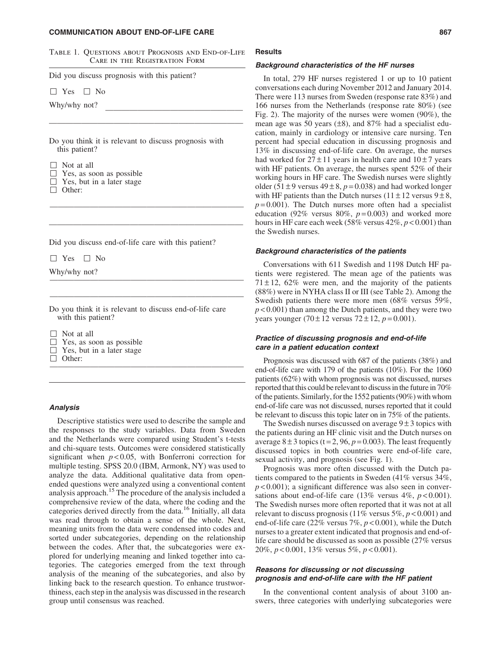#### COMMUNICATION ABOUT END-OF-LIFE CARE 867

Table 1. Questions about Prognosis and End-of-Life Care in the Registration Form

Did you discuss prognosis with this patient?

 $\Box$  Yes  $\Box$  No

Why/why not?

Do you think it is relevant to discuss prognosis with this patient?

————————————————————————

————————————————————————

————————————————————————

———————————————————————— ————————————————————————

| $\Box$ Not at all                |
|----------------------------------|
| $\Box$ Yes, as soon as possible  |
| $\Box$ Yes, but in a later stage |
|                                  |

□ Other:

Did you discuss end-of-life care with this patient?

 $\Box$  Yes  $\Box$  No

Why/why not?

Do you think it is relevant to discuss end-of-life care with this patient?

 $\Box$  Not at all

- $\Box$  Yes, as soon as possible
- $\Box$  Yes, but in a later stage
- $\Box$  Other: ————————————————————————

## Analysis

Descriptive statistics were used to describe the sample and the responses to the study variables. Data from Sweden and the Netherlands were compared using Student's t-tests and chi-square tests. Outcomes were considered statistically significant when *p* < 0.05, with Bonferroni correction for multiple testing. SPSS 20.0 (IBM, Armonk, NY) was used to analyze the data. Additional qualitative data from openended questions were analyzed using a conventional content analysis approach.<sup>15</sup> The procedure of the analysis included a comprehensive review of the data, where the coding and the categories derived directly from the data.<sup>16</sup> Initially, all data was read through to obtain a sense of the whole. Next, meaning units from the data were condensed into codes and sorted under subcategories, depending on the relationship between the codes. After that, the subcategories were explored for underlying meaning and linked together into categories. The categories emerged from the text through analysis of the meaning of the subcategories, and also by linking back to the research question. To enhance trustworthiness, each step in the analysis was discussed in the research group until consensus was reached.

# **Results**

#### Background characteristics of the HF nurses

In total, 279 HF nurses registered 1 or up to 10 patient conversations each during November 2012 and January 2014. There were 113 nurses from Sweden (response rate 83%) and 166 nurses from the Netherlands (response rate 80%) (see Fig. 2). The majority of the nurses were women (90%), the mean age was 50 years  $(\pm 8)$ , and 87% had a specialist education, mainly in cardiology or intensive care nursing. Ten percent had special education in discussing prognosis and 13% in discussing end-of-life care. On average, the nurses had worked for  $27 \pm 11$  years in health care and  $10 \pm 7$  years with HF patients. On average, the nurses spent 52% of their working hours in HF care. The Swedish nurses were slightly older (51 $\pm$ 9 versus 49 $\pm$ 8, *p* = 0.038) and had worked longer with HF patients than the Dutch nurses ( $11 \pm 12$  versus  $9 \pm 8$ ,  $p=0.001$ ). The Dutch nurses more often had a specialist education (92% versus 80%,  $p = 0.003$ ) and worked more hours in HF care each week (58% versus 42%, *p* < 0.001) than the Swedish nurses.

#### Background characteristics of the patients

Conversations with 611 Swedish and 1198 Dutch HF patients were registered. The mean age of the patients was  $71 \pm 12$ , 62% were men, and the majority of the patients (88%) were in NYHA class II or III (see Table 2). Among the Swedish patients there were more men (68% versus 59%, *p* < 0.001) than among the Dutch patients, and they were two years younger  $(70 \pm 12 \text{ versus } 72 \pm 12, p = 0.001)$ .

# Practice of discussing prognosis and end-of-life care in a patient education context

Prognosis was discussed with 687 of the patients (38%) and end-of-life care with 179 of the patients (10%). For the 1060 patients (62%) with whom prognosis was not discussed, nurses reported that this could be relevant to discuss in the future in 70% of the patients. Similarly, for the 1552 patients (90%) with whom end-of-life care was not discussed, nurses reported that it could be relevant to discuss this topic later on in 75% of the patients.

The Swedish nurses discussed on average  $9\pm 3$  topics with the patients during an HF clinic visit and the Dutch nurses on average  $8 \pm 3$  topics (t=2, 96,  $p = 0.003$ ). The least frequently discussed topics in both countries were end-of-life care, sexual activity, and prognosis (see Fig. 1).

Prognosis was more often discussed with the Dutch patients compared to the patients in Sweden (41% versus 34%,  $p$  < 0.001); a significant difference was also seen in conversations about end-of-life care  $(13\%$  versus  $4\%, p < 0.001$ ). The Swedish nurses more often reported that it was not at all relevant to discuss prognosis (11% versus 5%, *p* < 0.001) and end-of-life care (22% versus 7%, *p* < 0.001), while the Dutch nurses to a greater extent indicated that prognosis and end-oflife care should be discussed as soon as possible (27% versus 20%, *p* < 0.001, 13% versus 5%, *p* < 0.001).

# Reasons for discussing or not discussing prognosis and end-of-life care with the HF patient

In the conventional content analysis of about 3100 answers, three categories with underlying subcategories were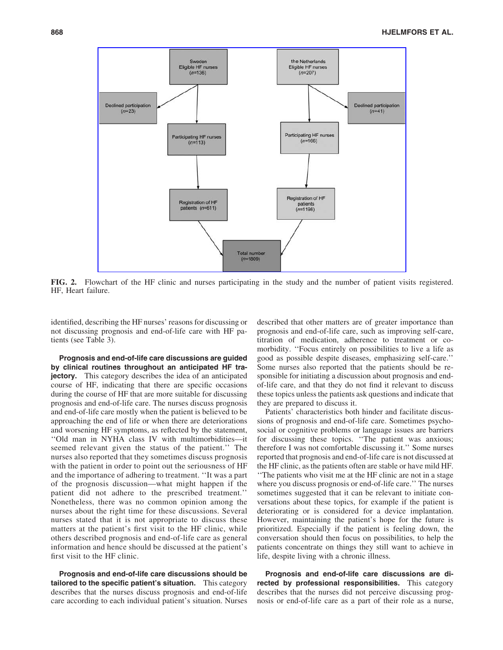

FIG. 2. Flowchart of the HF clinic and nurses participating in the study and the number of patient visits registered. HF, Heart failure.

identified, describing the HF nurses' reasons for discussing or not discussing prognosis and end-of-life care with HF patients (see Table 3).

Prognosis and end-of-life care discussions are guided by clinical routines throughout an anticipated HF tra**jectory.** This category describes the idea of an anticipated course of HF, indicating that there are specific occasions during the course of HF that are more suitable for discussing prognosis and end-of-life care. The nurses discuss prognosis and end-of-life care mostly when the patient is believed to be approaching the end of life or when there are deteriorations and worsening HF symptoms, as reflected by the statement, ''Old man in NYHA class IV with multimorbidities—it seemed relevant given the status of the patient.'' The nurses also reported that they sometimes discuss prognosis with the patient in order to point out the seriousness of HF and the importance of adhering to treatment. ''It was a part of the prognosis discussion—what might happen if the patient did not adhere to the prescribed treatment.'' Nonetheless, there was no common opinion among the nurses about the right time for these discussions. Several nurses stated that it is not appropriate to discuss these matters at the patient's first visit to the HF clinic, while others described prognosis and end-of-life care as general information and hence should be discussed at the patient's first visit to the HF clinic.

Prognosis and end-of-life care discussions should be tailored to the specific patient's situation. This category describes that the nurses discuss prognosis and end-of-life care according to each individual patient's situation. Nurses described that other matters are of greater importance than prognosis and end-of-life care, such as improving self-care, titration of medication, adherence to treatment or comorbidity. ''Focus entirely on possibilities to live a life as good as possible despite diseases, emphasizing self-care.'' Some nurses also reported that the patients should be responsible for initiating a discussion about prognosis and endof-life care, and that they do not find it relevant to discuss these topics unless the patients ask questions and indicate that they are prepared to discuss it.

Patients' characteristics both hinder and facilitate discussions of prognosis and end-of-life care. Sometimes psychosocial or cognitive problems or language issues are barriers for discussing these topics. ''The patient was anxious; therefore I was not comfortable discussing it.'' Some nurses reported that prognosis and end-of-life care is not discussed at the HF clinic, as the patients often are stable or have mild HF. ''The patients who visit me at the HF clinic are not in a stage where you discuss prognosis or end-of-life care.'' The nurses sometimes suggested that it can be relevant to initiate conversations about these topics, for example if the patient is deteriorating or is considered for a device implantation. However, maintaining the patient's hope for the future is prioritized. Especially if the patient is feeling down, the conversation should then focus on possibilities, to help the patients concentrate on things they still want to achieve in life, despite living with a chronic illness.

Prognosis and end-of-life care discussions are directed by professional responsibilities. This category describes that the nurses did not perceive discussing prognosis or end-of-life care as a part of their role as a nurse,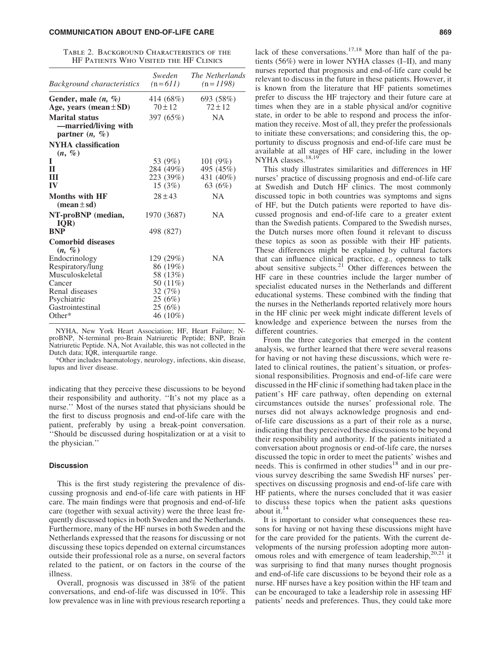| TABLE 2. BACKGROUND CHARACTERISTICS OF THE |  |                                        |  |  |
|--------------------------------------------|--|----------------------------------------|--|--|
|                                            |  | HF PATIENTS WHO VISITED THE HF CLINICS |  |  |

| Background characteristics                                                       | Sweden<br>$(n=611)$                                        | <i>The Netherlands</i><br>$(n=1198)$         |
|----------------------------------------------------------------------------------|------------------------------------------------------------|----------------------------------------------|
| Gender, male $(n, %)$<br>Age, years (mean $\pm$ SD)                              | 414 (68%)<br>$70 + 12$                                     | 693 (58%)<br>$72 \pm 12$                     |
| <b>Marital status</b><br>-married/living with<br>partner $(n, \%)$               | 397 (65%)                                                  | <b>NA</b>                                    |
| <b>NYHA</b> classification<br>$(n, \%)$                                          |                                                            |                                              |
| T<br>$\mathbf H$<br>Ш<br>IV                                                      | 53 (9%)<br>284 (49%)<br>223 (39%)<br>15(3%)                | 101(9%)<br>495 (45%)<br>431 (40%)<br>63 (6%) |
| <b>Months with HF</b><br>$(mean \pm sd)$                                         | $28 \pm 43$                                                | <b>NA</b>                                    |
| NT-proBNP (median,<br>IOR)                                                       | 1970 (3687)                                                | <b>NA</b>                                    |
| <b>BNP</b><br><b>Comorbid diseases</b><br>$(n, \%)$                              | 498 (827)                                                  |                                              |
| Endocrinology<br>Respiratory/lung<br>Musculoskeletal<br>Cancer<br>Renal diseases | 129 (29%)<br>86 (19%)<br>58 (13%)<br>50 (11%)<br>32 $(7%)$ | NA.                                          |
| Psychiatric<br>Gastrointestinal<br>Other $*$                                     | 25(6%)<br>25(6%)<br>46 (10%)                               |                                              |

NYHA, New York Heart Association; HF, Heart Failure; NproBNP, N-terminal pro-Brain Natriuretic Peptide; BNP, Brain Natriuretic Peptide. NA, Not Available, this was not collected in the Dutch data; IQR, interquartile range.

\*Other includes haematology, neurology, infections, skin disease, lupus and liver disease.

indicating that they perceive these discussions to be beyond their responsibility and authority. ''It's not my place as a nurse.'' Most of the nurses stated that physicians should be the first to discuss prognosis and end-of-life care with the patient, preferably by using a break-point conversation. ''Should be discussed during hospitalization or at a visit to the physician.''

# **Discussion**

This is the first study registering the prevalence of discussing prognosis and end-of-life care with patients in HF care. The main findings were that prognosis and end-of-life care (together with sexual activity) were the three least frequently discussed topics in both Sweden and the Netherlands. Furthermore, many of the HF nurses in both Sweden and the Netherlands expressed that the reasons for discussing or not discussing these topics depended on external circumstances outside their professional role as a nurse, on several factors related to the patient, or on factors in the course of the illness.

Overall, prognosis was discussed in 38% of the patient conversations, and end-of-life was discussed in 10%. This low prevalence was in line with previous research reporting a lack of these conversations.<sup>17,18</sup> More than half of the patients (56%) were in lower NYHA classes (I–II), and many nurses reported that prognosis and end-of-life care could be relevant to discuss in the future in these patients. However, it is known from the literature that HF patients sometimes prefer to discuss the HF trajectory and their future care at times when they are in a stable physical and/or cognitive state, in order to be able to respond and process the information they receive. Most of all, they prefer the professionals to initiate these conversations; and considering this, the opportunity to discuss prognosis and end-of-life care must be available at all stages of HF care, including in the lower NYHA classes.<sup>18,19</sup>

This study illustrates similarities and differences in HF nurses' practice of discussing prognosis and end-of-life care at Swedish and Dutch HF clinics. The most commonly discussed topic in both countries was symptoms and signs of HF, but the Dutch patients were reported to have discussed prognosis and end-of-life care to a greater extent than the Swedish patients. Compared to the Swedish nurses, the Dutch nurses more often found it relevant to discuss these topics as soon as possible with their HF patients. These differences might be explained by cultural factors that can influence clinical practice, e.g., openness to talk about sensitive subjects. $21$  Other differences between the HF care in these countries include the larger number of specialist educated nurses in the Netherlands and different educational systems. These combined with the finding that the nurses in the Netherlands reported relatively more hours in the HF clinic per week might indicate different levels of knowledge and experience between the nurses from the different countries.

From the three categories that emerged in the content analysis, we further learned that there were several reasons for having or not having these discussions, which were related to clinical routines, the patient's situation, or professional responsibilities. Prognosis and end-of-life care were discussed in the HF clinic if something had taken place in the patient's HF care pathway, often depending on external circumstances outside the nurses' professional role. The nurses did not always acknowledge prognosis and endof-life care discussions as a part of their role as a nurse, indicating that they perceived these discussions to be beyond their responsibility and authority. If the patients initiated a conversation about prognosis or end-of-life care, the nurses discussed the topic in order to meet the patients' wishes and needs. This is confirmed in other studies<sup>18</sup> and in our previous survey describing the same Swedish HF nurses' perspectives on discussing prognosis and end-of-life care with HF patients, where the nurses concluded that it was easier to discuss these topics when the patient asks questions about it.<sup>14</sup>

It is important to consider what consequences these reasons for having or not having these discussions might have for the care provided for the patients. With the current developments of the nursing profession adopting more autonomous roles and with emergence of team leadership, $20,21$  it was surprising to find that many nurses thought prognosis and end-of-life care discussions to be beyond their role as a nurse. HF nurses have a key position within the HF team and can be encouraged to take a leadership role in assessing HF patients' needs and preferences. Thus, they could take more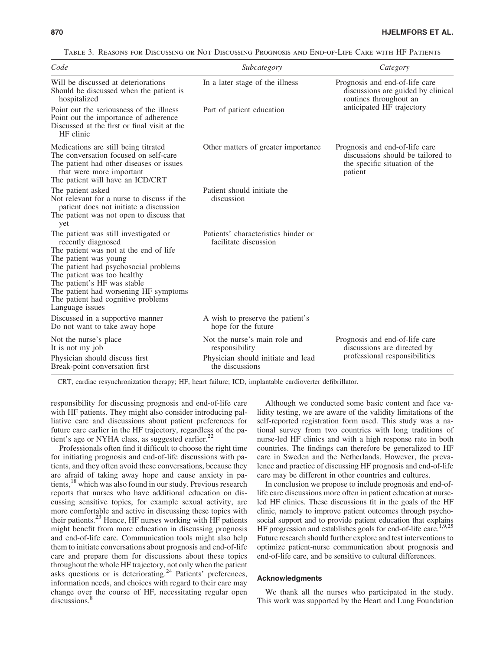It is not my job

Break-point conversation first

| TABLE 3. REASONS FOR DISCUSSING OR NOT DISCUSSING PROGNOSIS AND END-OF-LIFE CARE WITH HF PATIENTS                                                                                                                                                                                                                                       |                                                              |                                                                                                                 |  |  |  |  |
|-----------------------------------------------------------------------------------------------------------------------------------------------------------------------------------------------------------------------------------------------------------------------------------------------------------------------------------------|--------------------------------------------------------------|-----------------------------------------------------------------------------------------------------------------|--|--|--|--|
| Code                                                                                                                                                                                                                                                                                                                                    | Subcategory                                                  | Category                                                                                                        |  |  |  |  |
| Will be discussed at deteriorations<br>Should be discussed when the patient is<br>hospitalized                                                                                                                                                                                                                                          | In a later stage of the illness                              | Prognosis and end-of-life care<br>discussions are guided by clinical<br>routines throughout an                  |  |  |  |  |
| Point out the seriousness of the illness<br>Point out the importance of adherence<br>Discussed at the first or final visit at the<br>HF clinic                                                                                                                                                                                          | Part of patient education                                    | anticipated HF trajectory                                                                                       |  |  |  |  |
| Medications are still being titrated<br>The conversation focused on self-care<br>The patient had other diseases or issues<br>that were more important<br>The patient will have an ICD/CRT                                                                                                                                               | Other matters of greater importance                          | Prognosis and end-of-life care<br>discussions should be tailored to<br>the specific situation of the<br>patient |  |  |  |  |
| The patient asked<br>Not relevant for a nurse to discuss if the<br>patient does not initiate a discussion<br>The patient was not open to discuss that<br>yet                                                                                                                                                                            | Patient should initiate the<br>discussion                    |                                                                                                                 |  |  |  |  |
| The patient was still investigated or<br>recently diagnosed<br>The patient was not at the end of life<br>The patient was young<br>The patient had psychosocial problems<br>The patient was too healthy<br>The patient's HF was stable<br>The patient had worsening HF symptoms<br>The patient had cognitive problems<br>Language issues | Patients' characteristics hinder or<br>facilitate discussion |                                                                                                                 |  |  |  |  |
| Discussed in a supportive manner<br>Do not want to take away hope                                                                                                                                                                                                                                                                       | A wish to preserve the patient's<br>hope for the future      |                                                                                                                 |  |  |  |  |
| Not the nurse's place                                                                                                                                                                                                                                                                                                                   | Not the nurse's main role and                                | Prognosis and end-of-life care                                                                                  |  |  |  |  |

CRT, cardiac resynchronization therapy; HF, heart failure; ICD, implantable cardioverter defibrillator.

responsibility

the discussions

Physician should discuss first Physician should initiate and lead professional responsibilities

responsibility for discussing prognosis and end-of-life care with HF patients. They might also consider introducing palliative care and discussions about patient preferences for future care earlier in the HF trajectory, regardless of the patient's age or NYHA class, as suggested earlier. $^{22}$ 

Professionals often find it difficult to choose the right time for initiating prognosis and end-of-life discussions with patients, and they often avoid these conversations, because they are afraid of taking away hope and cause anxiety in patients,<sup>18</sup> which was also found in our study. Previous research reports that nurses who have additional education on discussing sensitive topics, for example sexual activity, are more comfortable and active in discussing these topics with their patients.<sup>23</sup> Hence, HF nurses working with HF patients might benefit from more education in discussing prognosis and end-of-life care. Communication tools might also help them to initiate conversations about prognosis and end-of-life care and prepare them for discussions about these topics throughout the whole HF trajectory, not only when the patient asks questions or is deteriorating.<sup>24</sup> Patients' preferences, information needs, and choices with regard to their care may change over the course of HF, necessitating regular open discussions.<sup>8</sup>

Although we conducted some basic content and face validity testing, we are aware of the validity limitations of the self-reported registration form used. This study was a national survey from two countries with long traditions of nurse-led HF clinics and with a high response rate in both countries. The findings can therefore be generalized to HF care in Sweden and the Netherlands. However, the prevalence and practice of discussing HF prognosis and end-of-life care may be different in other countries and cultures.

discussions are directed by<br>professional responsibilities

In conclusion we propose to include prognosis and end-oflife care discussions more often in patient education at nurseled HF clinics. These discussions fit in the goals of the HF clinic, namely to improve patient outcomes through psychosocial support and to provide patient education that explains HF progression and establishes goals for end-of-life care.<sup>1,9,25</sup> Future research should further explore and test interventions to optimize patient-nurse communication about prognosis and end-of-life care, and be sensitive to cultural differences.

# Acknowledgments

We thank all the nurses who participated in the study. This work was supported by the Heart and Lung Foundation